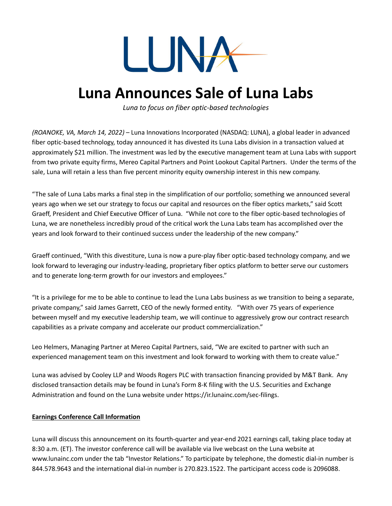

## **Luna Announces Sale of Luna Labs**

*Luna to focus on fiber optic-based technologies*

*(ROANOKE, VA, March 14, 2022)* – Luna Innovations Incorporated (NASDAQ: LUNA), a global leader in advanced fiber optic-based technology, today announced it has divested its Luna Labs division in a transaction valued at approximately \$21 million. The investment was led by the executive management team at Luna Labs with support from two private equity firms, Mereo Capital Partners and Point Lookout Capital Partners. Under the terms of the sale, Luna will retain a less than five percent minority equity ownership interest in this new company.

"The sale of Luna Labs marks a final step in the simplification of our portfolio; something we announced several years ago when we set our strategy to focus our capital and resources on the fiber optics markets," said Scott Graeff, President and Chief Executive Officer of Luna. "While not core to the fiber optic-based technologies of Luna, we are nonetheless incredibly proud of the critical work the Luna Labs team has accomplished over the years and look forward to their continued success under the leadership of the new company."

Graeff continued, "With this divestiture, Luna is now a pure-play fiber optic-based technology company, and we look forward to leveraging our industry-leading, proprietary fiber optics platform to better serve our customers and to generate long-term growth for our investors and employees."

"It is a privilege for me to be able to continue to lead the Luna Labs business as we transition to being a separate, private company," said James Garrett, CEO of the newly formed entity. "With over 75 years of experience between myself and my executive leadership team, we will continue to aggressively grow our contract research capabilities as a private company and accelerate our product commercialization."

Leo Helmers, Managing Partner at Mereo Capital Partners, said, "We are excited to partner with such an experienced management team on this investment and look forward to working with them to create value."

Luna was advised by Cooley LLP and Woods Rogers PLC with transaction financing provided by M&T Bank. Any disclosed transaction details may be found in Luna's Form 8-K filing with the U.S. Securities and Exchange Administration and found on the Luna website under https://ir.lunainc.com/sec-filings.

## **Earnings Conference Call Information**

Luna will discuss this announcement on its fourth-quarter and year-end 2021 earnings call, taking place today at 8:30 a.m. (ET). The investor conference call will be available via live webcast on the Luna website at www.lunainc.com under the tab "Investor Relations." To participate by telephone, the domestic dial-in number is 844.578.9643 and the international dial-in number is 270.823.1522. The participant access code is 2096088.